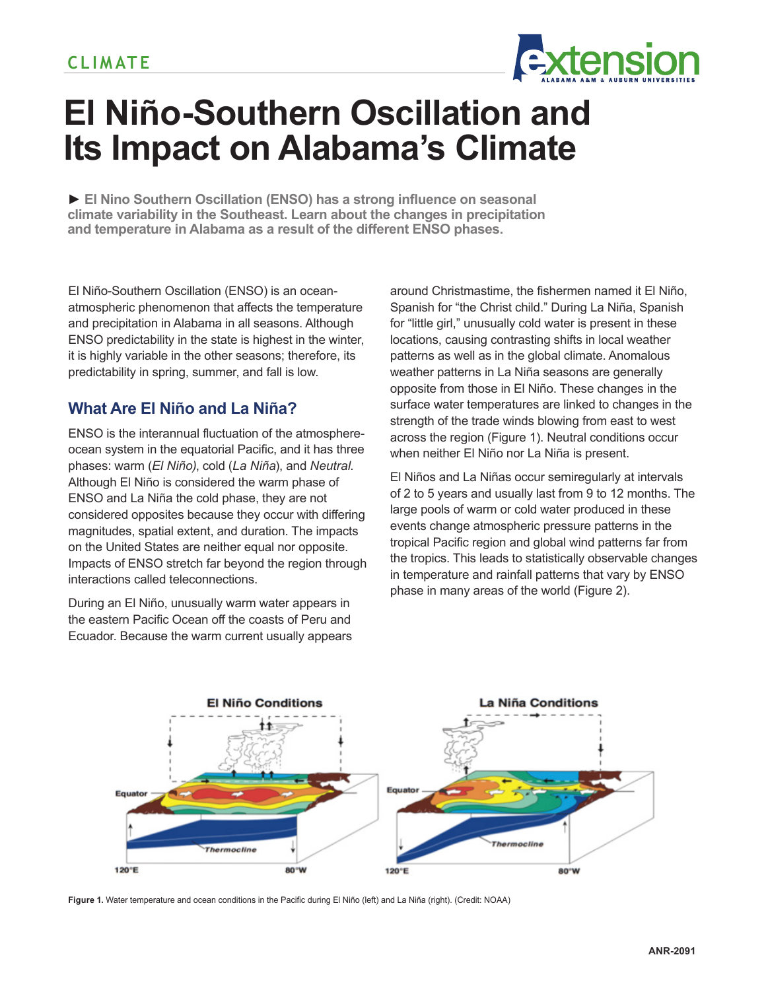

# **El Niño-Southern Oscillation and Its Impact on Alabama's Climate**

**► El Nino Southern Oscillation (ENSO) has a strong influence on seasonal climate variability in the Southeast. Learn about the changes in precipitation and temperature in Alabama as a result of the different ENSO phases.**

El Niño-Southern Oscillation (ENSO) is an oceanatmospheric phenomenon that affects the temperature and precipitation in Alabama in all seasons. Although ENSO predictability in the state is highest in the winter, it is highly variable in the other seasons; therefore, its predictability in spring, summer, and fall is low.

## **What Are El Niño and La Niña?**

ENSO is the interannual fluctuation of the atmosphereocean system in the equatorial Pacific, and it has three phases: warm (*El Niño)*, cold (*La Niña*), and *Neutral*. Although El Niño is considered the warm phase of ENSO and La Niña the cold phase, they are not considered opposites because they occur with differing magnitudes, spatial extent, and duration. The impacts on the United States are neither equal nor opposite. Impacts of ENSO stretch far beyond the region through interactions called teleconnections.

During an El Niño, unusually warm water appears in the eastern Pacific Ocean off the coasts of Peru and Ecuador. Because the warm current usually appears around Christmastime, the fishermen named it El Niño, Spanish for "the Christ child." During La Niña, Spanish for "little girl," unusually cold water is present in these locations, causing contrasting shifts in local weather patterns as well as in the global climate. Anomalous weather patterns in La Niña seasons are generally opposite from those in El Niño. These changes in the surface water temperatures are linked to changes in the strength of the trade winds blowing from east to west across the region (Figure 1). Neutral conditions occur when neither El Niño nor La Niña is present.

El Niños and La Niñas occur semiregularly at intervals of 2 to 5 years and usually last from 9 to 12 months. The large pools of warm or cold water produced in these events change atmospheric pressure patterns in the tropical Pacific region and global wind patterns far from the tropics. This leads to statistically observable changes in temperature and rainfall patterns that vary by ENSO phase in many areas of the world (Figure 2).



**Figure 1.** Water temperature and ocean conditions in the Pacific during El Niño (left) and La Niña (right). (Credit: NOAA)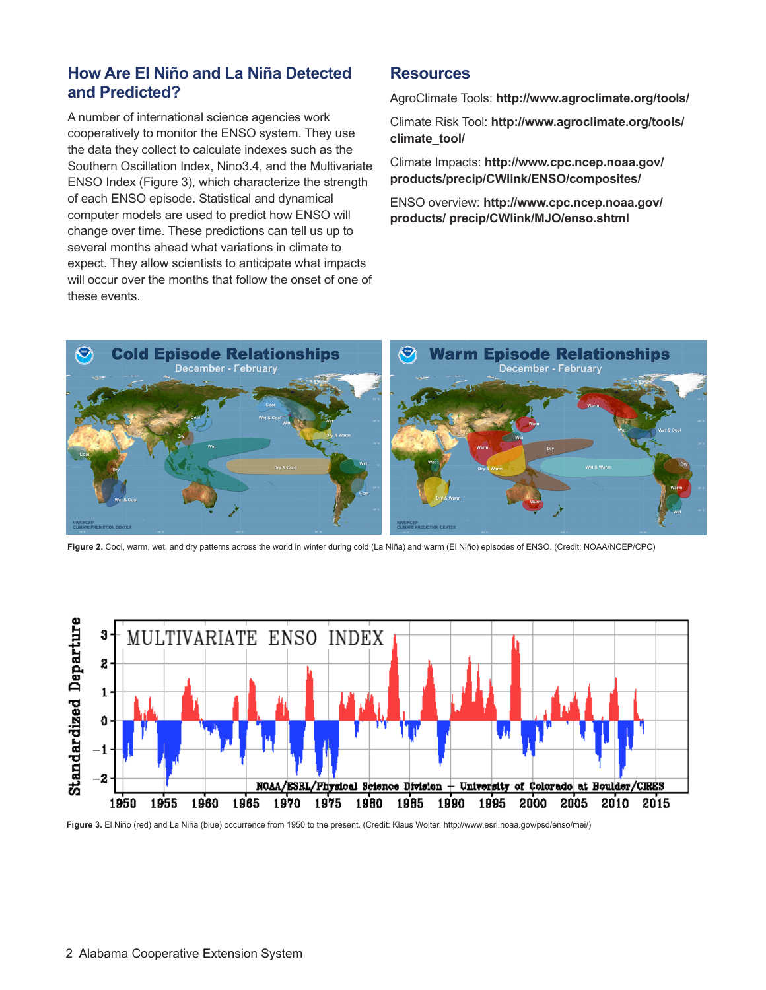### **How Are El Niño and La Niña Detected and Predicted?**

A number of international science agencies work cooperatively to monitor the ENSO system. They use the data they collect to calculate indexes such as the Southern Oscillation Index, Nino3.4, and the Multivariate ENSO Index (Figure 3), which characterize the strength of each ENSO episode. Statistical and dynamical computer models are used to predict how ENSO will change over time. These predictions can tell us up to several months ahead what variations in climate to expect. They allow scientists to anticipate what impacts will occur over the months that follow the onset of one of these events.

#### **Resources**

AgroClimate Tools: **http://www.agroclimate.org/tools/**

Climate Risk Tool: **http://www.agroclimate.org/tools/ climate\_tool/** 

Climate Impacts: **http://www.cpc.ncep.noaa.gov/ products/precip/CWlink/ENSO/composites/** 

ENSO overview: **http://www.cpc.ncep.noaa.gov/ products/ precip/CWlink/MJO/enso.shtml**



**Figure 2.** Cool, warm, wet, and dry patterns across the world in winter during cold (La Niña) and warm (El Niño) episodes of ENSO. (Credit: NOAA/NCEP/CPC)



**Figure 3.** El Niño (red) and La Niña (blue) occurrence from 1950 to the present. (Credit: Klaus Wolter, http://www.esrl.noaa.gov/psd/enso/mei/)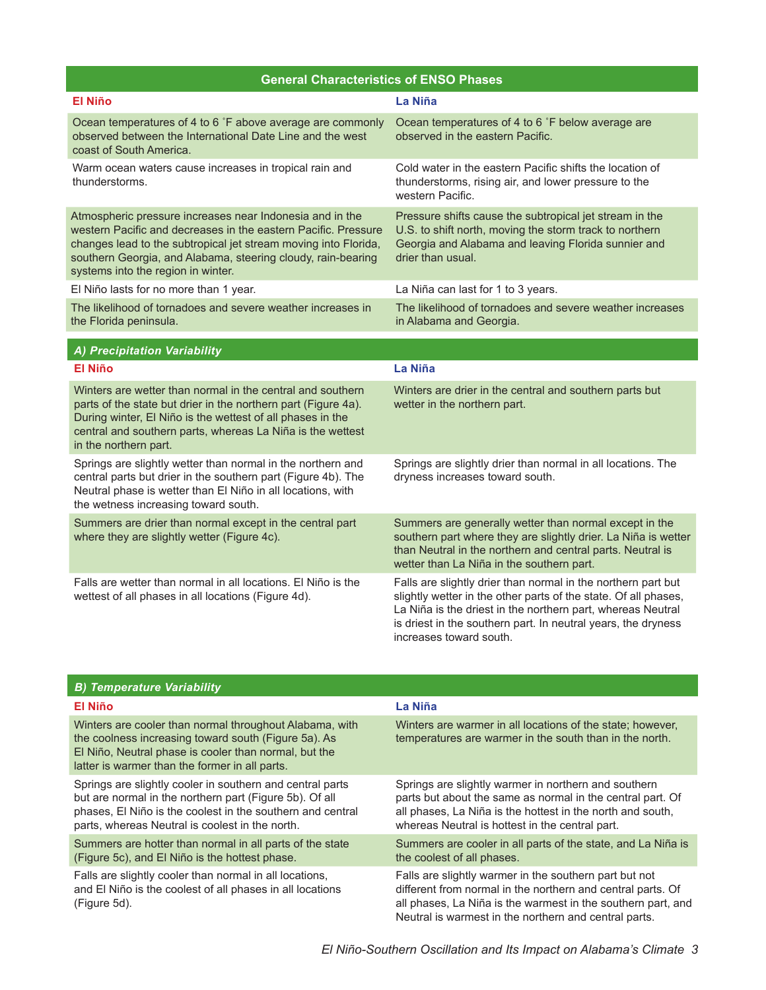| <b>General Characteristics of ENSO Phases</b>                                                                                                                                                                                                                                                       |                                                                                                                                                                                                                                                                                             |  |
|-----------------------------------------------------------------------------------------------------------------------------------------------------------------------------------------------------------------------------------------------------------------------------------------------------|---------------------------------------------------------------------------------------------------------------------------------------------------------------------------------------------------------------------------------------------------------------------------------------------|--|
| <b>El Niño</b>                                                                                                                                                                                                                                                                                      | La Niña                                                                                                                                                                                                                                                                                     |  |
| Ocean temperatures of 4 to 6 °F above average are commonly<br>observed between the International Date Line and the west<br>coast of South America.                                                                                                                                                  | Ocean temperatures of 4 to 6 °F below average are<br>observed in the eastern Pacific.                                                                                                                                                                                                       |  |
| Warm ocean waters cause increases in tropical rain and<br>thunderstorms.                                                                                                                                                                                                                            | Cold water in the eastern Pacific shifts the location of<br>thunderstorms, rising air, and lower pressure to the<br>western Pacific.                                                                                                                                                        |  |
| Atmospheric pressure increases near Indonesia and in the<br>western Pacific and decreases in the eastern Pacific. Pressure<br>changes lead to the subtropical jet stream moving into Florida,<br>southern Georgia, and Alabama, steering cloudy, rain-bearing<br>systems into the region in winter. | Pressure shifts cause the subtropical jet stream in the<br>U.S. to shift north, moving the storm track to northern<br>Georgia and Alabama and leaving Florida sunnier and<br>drier than usual.                                                                                              |  |
| El Niño lasts for no more than 1 year.                                                                                                                                                                                                                                                              | La Niña can last for 1 to 3 years.                                                                                                                                                                                                                                                          |  |
| The likelihood of tornadoes and severe weather increases in<br>the Florida peninsula.                                                                                                                                                                                                               | The likelihood of tornadoes and severe weather increases<br>in Alabama and Georgia.                                                                                                                                                                                                         |  |
| A) Precipitation Variability                                                                                                                                                                                                                                                                        |                                                                                                                                                                                                                                                                                             |  |
| <b>El Niño</b>                                                                                                                                                                                                                                                                                      | La Niña                                                                                                                                                                                                                                                                                     |  |
| Winters are wetter than normal in the central and southern<br>parts of the state but drier in the northern part (Figure 4a).<br>During winter, El Niño is the wettest of all phases in the<br>central and southern parts, whereas La Niña is the wettest<br>in the northern part.                   | Winters are drier in the central and southern parts but<br>wetter in the northern part.                                                                                                                                                                                                     |  |
| Springs are slightly wetter than normal in the northern and<br>central parts but drier in the southern part (Figure 4b). The<br>Neutral phase is wetter than El Niño in all locations, with<br>the wetness increasing toward south.                                                                 | Springs are slightly drier than normal in all locations. The<br>dryness increases toward south.                                                                                                                                                                                             |  |
| Summers are drier than normal except in the central part<br>where they are slightly wetter (Figure 4c).                                                                                                                                                                                             | Summers are generally wetter than normal except in the<br>southern part where they are slightly drier. La Niña is wetter<br>than Neutral in the northern and central parts. Neutral is<br>wetter than La Niña in the southern part.                                                         |  |
| Falls are wetter than normal in all locations. El Niño is the<br>wettest of all phases in all locations (Figure 4d).                                                                                                                                                                                | Falls are slightly drier than normal in the northern part but<br>slightly wetter in the other parts of the state. Of all phases,<br>La Niña is the driest in the northern part, whereas Neutral<br>is driest in the southern part. In neutral years, the dryness<br>increases toward south. |  |

| <b>B) Temperature Variability</b>                                                                                                                                                                                                     |                                                                                                                                                                                                                                     |
|---------------------------------------------------------------------------------------------------------------------------------------------------------------------------------------------------------------------------------------|-------------------------------------------------------------------------------------------------------------------------------------------------------------------------------------------------------------------------------------|
| El Niño                                                                                                                                                                                                                               | La Niña                                                                                                                                                                                                                             |
| Winters are cooler than normal throughout Alabama, with<br>the coolness increasing toward south (Figure 5a). As<br>El Niño, Neutral phase is cooler than normal, but the<br>latter is warmer than the former in all parts.            | Winters are warmer in all locations of the state; however,<br>temperatures are warmer in the south than in the north.                                                                                                               |
| Springs are slightly cooler in southern and central parts<br>but are normal in the northern part (Figure 5b). Of all<br>phases. El Niño is the coolest in the southern and central<br>parts, whereas Neutral is coolest in the north. | Springs are slightly warmer in northern and southern<br>parts but about the same as normal in the central part. Of<br>all phases, La Niña is the hottest in the north and south,<br>whereas Neutral is hottest in the central part. |
| Summers are hotter than normal in all parts of the state<br>(Figure 5c), and El Niño is the hottest phase.                                                                                                                            | Summers are cooler in all parts of the state, and La Niña is<br>the coolest of all phases.                                                                                                                                          |
| Falls are slightly cooler than normal in all locations,<br>and El Niño is the coolest of all phases in all locations<br>(Figure 5d).                                                                                                  | Falls are slightly warmer in the southern part but not<br>different from normal in the northern and central parts. Of<br>all phases, La Niña is the warmest in the southern part, and                                               |

Neutral is warmest in the northern and central parts.